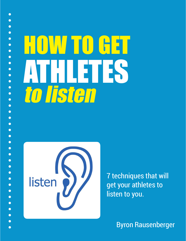# HOW TO GET ATHLETES to listen



 $\bullet$ 

7 techniques that will get your athletes to listen to you.

Byron Rausenberger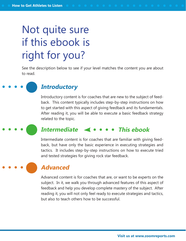### Not quite sure if this ebook is right for you?

See the description below to see if your level matches the content you are about to read.

### **Introductory**

Introductory content is for coaches that are new to the subject of feedback. This content typically includes step-by-step instructions on how to get started with this aspect of giving feedback and its fundamentals. After reading it, you will be able to execute a basic feedback strategy related to the topic.

#### **Intermediate This ebook**

Intermediate content is for coaches that are familiar with giving feedback, but have only the basic experience in executing strategies and tactics. It includes step-by-step instructions on how to execute tried and tested strategies for giving rock star feedback.

#### **Advanced**

Advanced content is for coaches that are, or want to be experts on the subject. In it, we walk you through advanced features of this aspect of feedback and help you develop complete mastery of the subject. After reading it, you will not only feel ready to execute strategies and tactics, but also to teach others how to be successful.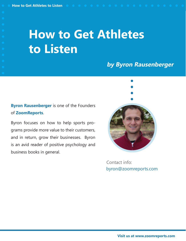### **How to Get Athletes to Listen**

### **by Byron Rausenberger**

#### **Byron Rausenberger** is one of the Founders of **ZoomReports**.

Byron focuses on how to help sports programs provide more value to their customers, and in return, grow their businesses. Byron is an avid reader of positive psychology and business books in general.



byron@zoomreports.com Contact info: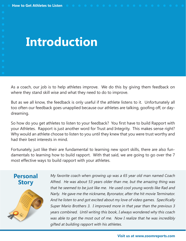### **Introduction**

As a coach, our job is to help athletes improve. We do this by giving them feedback on where they stand skill wise and what they need to do to improve.

But as we all know, the feedback is only useful if the athlete listens to it. Unfortunately all too often our feedback goes unapplied because our athletes are talking, goofing off, or daydreaming.

So how do you get athletes to listen to your feedback? You first have to build Rapport with your Athletes. Rapport is just another word for Trust and Integrity. This makes sense right? Why would an athlete choose to listen to you until they knew that you were trust worthy and had their best interests in mind.

Fortunately, just like their are fundamental to learning new sport skills, there are also fundamentals to learning how to build rapport. With that said, we are going to go over the 7 most effective ways to build rapport with your athletes.

#### **Personal Story**



My favorite coach when growing up was a 65 year old man named Coach Alfred. He was about 53 years older than me, but the amazing thing was that he seemed to be just like me. He used cool young words like Rad and Narly. He gave me the nickname, Byronator, after the hit movie Terminator. And he listen to and got excited about my love of video games. Specifically Super Mario Brothers 3. I improved more in that year than the previous 3 years combined. Until writing this book, I always wondered why this coach was able to get the most out of me. Now I realize that he was incredibly gifted at building rapport with his athletes.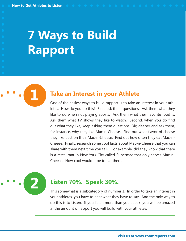# **7 Ways to Build Rapport**

#### **1 Take an Interest in your Athlete**

One of the easiest ways to build rapport is to take an interest in your athletes. How do you do this? First, ask them questions. Ask them what they like to do when not playing sports. Ask them what their favorite food is. Ask them what TV shows they like to watch. Second, when you do find out what they like, keep asking them questions. Dig deeper and ask them, for instance, why they like Mac-n-Cheese. Find out what flavor of cheese they like best on their Mac-n-Cheese. Find out how often they eat Mac-n-Cheese. Finally, research some cool facts about Mac-n-Cheese that you can share with them next time you talk. For example, did they know that there is a restaurant in New York City called Supermac that only serves Mac-n-Cheese. How cool would it be to eat there.

#### **2 Listen 70%. Speak 30%.**

This somewhat is a subcategory of number 1. In order to take an interest in your athletes, you have to hear what they have to say. And the only way to do this is to Listen. If you listen more than you speak, you will be amazed at the amount of rapport you will build with your athletes.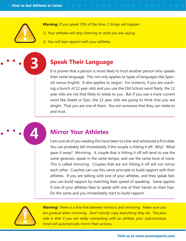**Warning:** If you speak 70% of the time, 2 things will happen.

- 1) Your athletes will stop listening to what you are saying.
- 2) You will lose rapport with your athletes.

#### **3 Speak Their Language**

It is proven that a person is more likely to trust another person who speaks their same language. This not only applies to types of languages like Spanish versus English. It also applies to Jargon. For instance, if you are coaching a bunch of 12 year olds and you use the Old School word Narly, the 12 year olds are not that likely to relate to you. But if you use a more current word like Sweet or Epic, the 12 year olds are going to think that you are alright. That you are one of them. You are someone that they can relate to and trust.

#### **4 Mirror Your Athletes**

I am sure all of you reading this have been to a bar and witnessed a first date. You can probably tell immediately if the couple is hitting it off. Why? What gave it away? Mirroring. A couple that is hitting it off will tend to use the same gestures, speak in the same tempo, and use the same tone of voice. This is called mirroring. Couples that are not hitting it off will not mirror each other. Coaches can use this same principle to build rapport with their athletes. If you are talking with one of your athletes, and they speak fast, you can build rapport by matching their speed of speaking. Same applies if one of your athletes likes to speak with one of their hands on their hips. Do the same and you immediately start to build rapport.



**Warning:** There is a fine line between mimicry and mirroring. Make sure you are gradual when mirroring. Don't strictly copy everything they do. The plus side is that if you are really connecting with an athlete, your subconscious mind will automatically mirror their actions.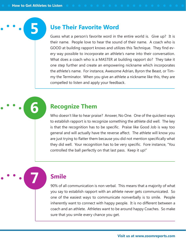#### **5 Use Their Favorite Word**

Guess what a person's favorite word in the entire world is. Give up? It is their name. People love to hear the sound of their name. A coach who is GOOD at building rapport knows and utilizes this Technique. They find every way possible to incorporate an athlete's name into their conversation. What does a coach who is a MASTER at building rapport do? They take it one step further and create an empowering nickname which incorporates the athlete's name. For instance, Awesome Adrian, Byron the Beast, or Timmy the Terminator. When you give an athlete a nickname like this, they are compelled to listen and apply your feedback.

#### **6 Recognize Them**

Who doesn't like to hear praise? Answer, No One. One of the quickest ways to establish rapport is to recognize something the athlete did well. The key is that the recognition has to be specific. Praise like Good Job is way too general and will actually have the reverse affect. The athlete will know you are just trying to flatter them because you did not mention specifically what they did well. Your recognition has to be very specific. Fore instance, "You controlled the ball perfectly on that last pass. Keep it up!"

#### **7 Smile**

90% of all communication is non verbal. This means that a majority of what you say to establish rapport with an athlete never gets communicated. So one of the easiest ways to communicate nonverbally is to smile. People inherently want to connect with happy people. It is no different between a coach and an athlete. Athletes want to be around happy Coaches. So make sure that you smile every chance you get.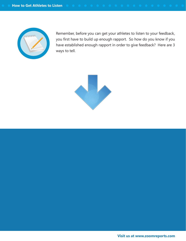

Remember, before you can get your athletes to listen to your feedback, you first have to build up enough rapport. So how do you know if you have established enough rapport in order to give feedback? Here are 3 ways to tell.

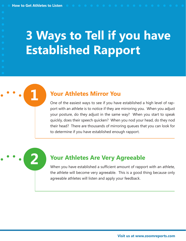# **3 Ways to Tell if you have Established Rapport**

#### **1 Your Athletes Mirror You**

One of the easiest ways to see if you have established a high level of rapport with an athlete is to notice if they are mirroring you. When you adjust your posture, do they adjust in the same way? When you start to speak quickly, does their speech quicken? When you nod your head, do they nod their head? There are thousands of mirroring queues that you can look for to determine if you have established enough rapport.

#### **2 Your Athletes Are Very Agreeable**

When you have established a sufficient amount of rapport with an athlete, the athlete will become very agreeable. This is a good thing because only agreeable athletes will listen and apply your feedback.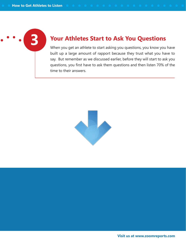#### **3 Your Athletes Start to Ask You Questions**

When you get an athlete to start asking you questions, you know you have built up a large amount of rapport because they trust what you have to say. But remember as we discussed earlier, before they will start to ask you questions, you first have to ask them questions and then listen 70% of the time to their answers.